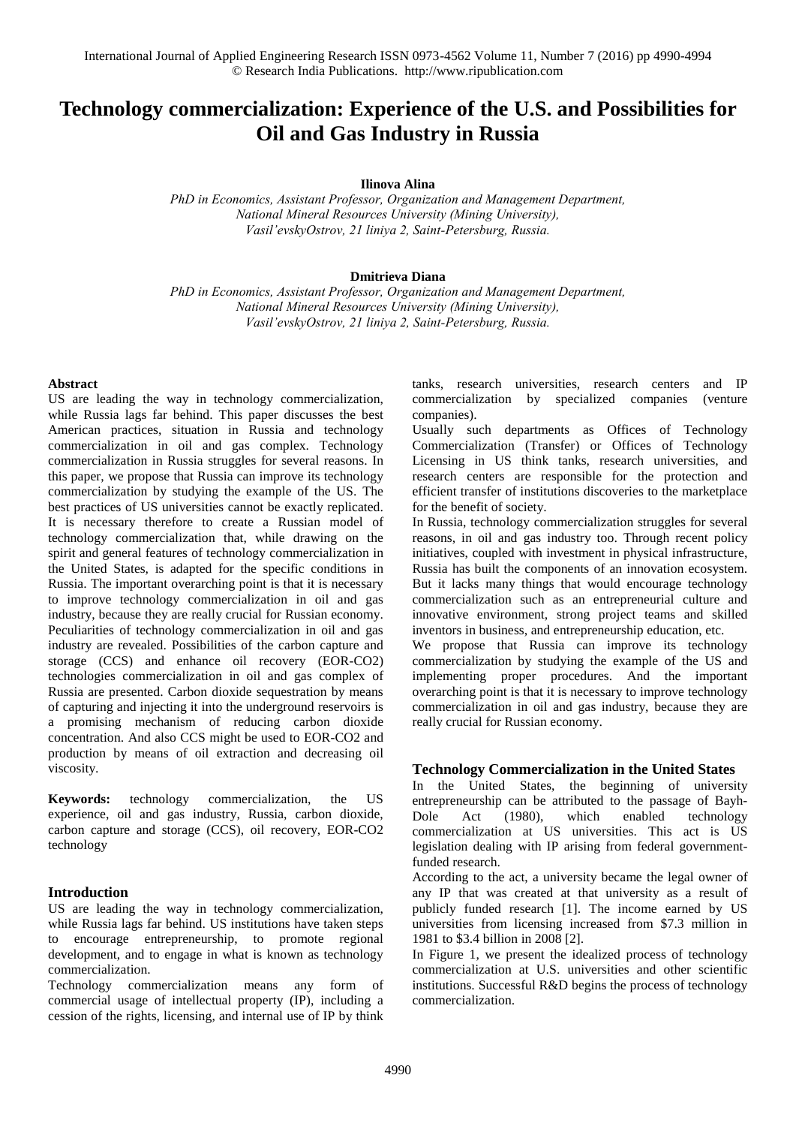# **Technology commercialization: Experience of the U.S. and Possibilities for Oil and Gas Industry in Russia**

**Ilinova Alina** 

*PhD in Economics, Assistant Professor, Organization and Management Department, National Mineral Resources University (Mining University), Vasil'evskyOstrov, 21 liniya 2, Saint-Petersburg, Russia.* 

#### **Dmitrieva Diana**

*PhD in Economics, Assistant Professor, Organization and Management Department, National Mineral Resources University (Mining University), Vasil'evskyOstrov, 21 liniya 2, Saint-Petersburg, Russia.* 

#### **Abstract**

US are leading the way in technology commercialization, while Russia lags far behind. This paper discusses the best American practices, situation in Russia and technology commercialization in oil and gas complex. Technology commercialization in Russia struggles for several reasons. In this paper, we propose that Russia can improve its technology commercialization by studying the example of the US. The best practices of US universities cannot be exactly replicated. It is necessary therefore to create a Russian model of technology commercialization that, while drawing on the spirit and general features of technology commercialization in the United States, is adapted for the specific conditions in Russia. The important overarching point is that it is necessary to improve technology commercialization in oil and gas industry, because they are really crucial for Russian economy. Peculiarities of technology commercialization in oil and gas industry are revealed. Possibilities of the carbon capture and storage (CCS) and enhance oil recovery (EOR-CO2) technologies commercialization in oil and gas complex of Russia are presented. Carbon dioxide sequestration by means of capturing and injecting it into the underground reservoirs is a promising mechanism of reducing carbon dioxide concentration. And also CCS might be used to EOR-CO2 and production by means of oil extraction and decreasing oil viscosity.

**Keywords:** technology commercialization, the US experience, oil and gas industry, Russia, carbon dioxide, carbon capture and storage (CCS), oil recovery, EOR-CO2 technology

#### **Introduction**

US are leading the way in technology commercialization, while Russia lags far behind. US institutions have taken steps to encourage entrepreneurship, to promote regional development, and to engage in what is known as technology commercialization.

Technology commercialization means any form of commercial usage of intellectual property (IP), including a cession of the rights, licensing, and internal use of IP by think tanks, research universities, research centers and IP commercialization by specialized companies (venture companies).

Usually such departments as Offices of Technology Commercialization (Transfer) or Offices of Technology Licensing in US think tanks, research universities, and research centers are responsible for the protection and efficient transfer of institutions discoveries to the marketplace for the benefit of society.

In Russia, technology commercialization struggles for several reasons, in oil and gas industry too. Through recent policy initiatives, coupled with investment in physical infrastructure, Russia has built the components of an innovation ecosystem. But it lacks many things that would encourage technology commercialization such as an entrepreneurial culture and innovative environment, strong project teams and skilled inventors in business, and entrepreneurship education, etc.

We propose that Russia can improve its technology commercialization by studying the example of the US and implementing proper procedures. And the important overarching point is that it is necessary to improve technology commercialization in oil and gas industry, because they are really crucial for Russian economy.

#### **Technology Commercialization in the United States**

In the United States, the beginning of university entrepreneurship can be attributed to the passage of Bayh-Dole Act (1980), which enabled technology commercialization at US universities. This act is US legislation dealing with IP arising from federal governmentfunded research.

According to the act, a university became the legal owner of any IP that was created at that university as a result of publicly funded research [1]. The income earned by US universities from licensing increased from \$7.3 million in 1981 to \$3.4 billion in 2008 [2].

In Figure 1, we present the idealized process of technology commercialization at U.S. universities and other scientific institutions. Successful R&D begins the process of technology commercialization.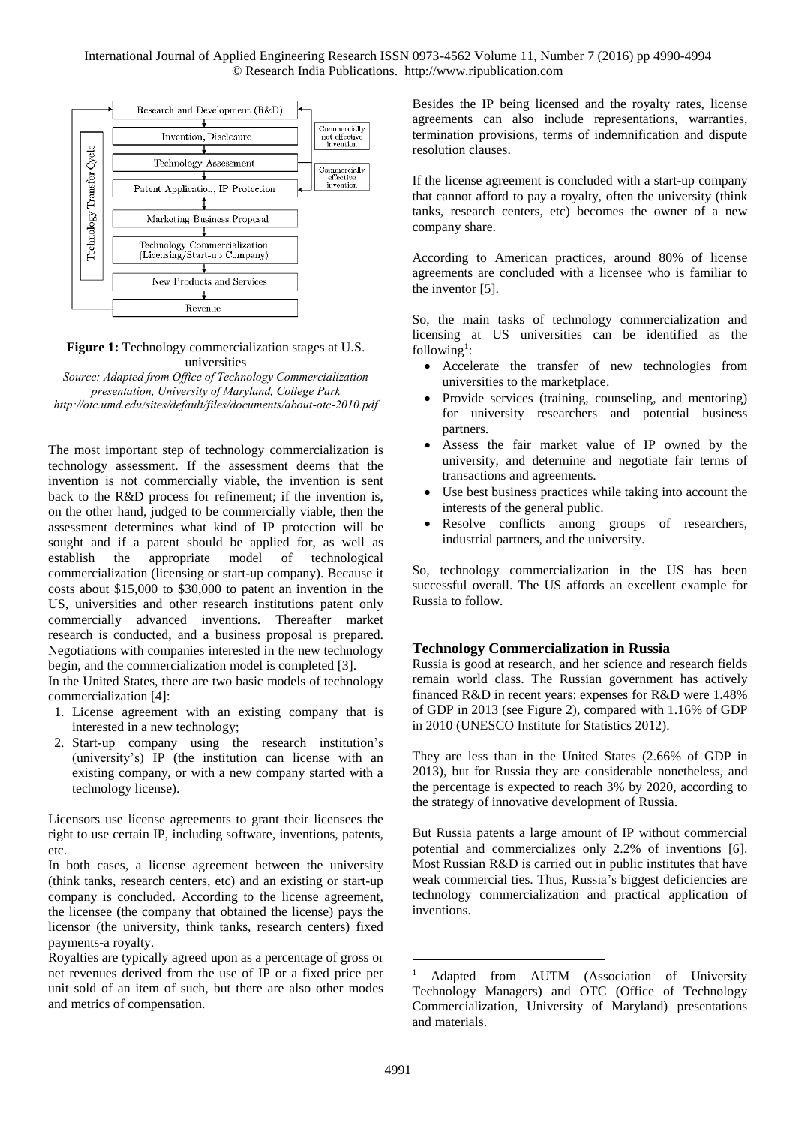International Journal of Applied Engineering Research ISSN 0973-4562 Volume 11, Number 7 (2016) pp 4990-4994 © Research India Publications. http://www.ripublication.com



**Figure 1:** Technology commercialization stages at U.S. universities

*Source: Adapted from Office of Technology Commercialization presentation, University of Maryland, College Park <http://otc.umd.edu/sites/default/files/documents/about-otc-2010.pdf>*

The most important step of technology commercialization is technology assessment. If the assessment deems that the invention is not commercially viable, the invention is sent back to the R&D process for refinement; if the invention is, on the other hand, judged to be commercially viable, then the assessment determines what kind of IP protection will be sought and if a patent should be applied for, as well as establish the appropriate model of technological commercialization (licensing or start-up company). Because it costs about \$15,000 to \$30,000 to patent an invention in the US, universities and other research institutions patent only commercially advanced inventions. Thereafter market research is conducted, and a business proposal is prepared. Negotiations with companies interested in the new technology begin, and the commercialization model is completed [3].

In the United States, there are two basic models of technology commercialization [4]:

- 1. License agreement with an existing company that is interested in a new technology;
- 2. Start-up company using the research institution's (university's) IP (the institution can license with an existing company, or with a new company started with a technology license).

Licensors use license agreements to grant their licensees the right to use certain IP, including software, inventions, patents, etc.

In both cases, a license agreement between the university (think tanks, research centers, etc) and an existing or start-up company is concluded. According to the license agreement, the licensee (the company that obtained the license) pays the licensor (the university, think tanks, research centers) fixed payments-a royalty.

Royalties are typically agreed upon as a percentage of gross or net revenues derived from the use of IP or a fixed price per unit sold of an item of such, but there are also other modes and metrics of compensation.

Besides the IP being licensed and the royalty rates, license agreements can also include representations, warranties, termination provisions, terms of indemnification and dispute resolution clauses.

If the license agreement is concluded with a start-up company that cannot afford to pay a royalty, often the university (think tanks, research centers, etc) becomes the owner of a new company share.

According to American practices, around 80% of license agreements are concluded with a licensee who is familiar to the inventor [5].

So, the main tasks of technology commercialization and licensing at US universities can be identified as the  $following<sup>1</sup>$ :

- Accelerate the transfer of new technologies from universities to the marketplace.
- Provide services (training, counseling, and mentoring) for university researchers and potential business partners.
- Assess the fair market value of IP owned by the university, and determine and negotiate fair terms of transactions and agreements.
- Use best business practices while taking into account the interests of the general public.
- Resolve conflicts among groups of researchers, industrial partners, and the university.

So, technology commercialization in the US has been successful overall. The US affords an excellent example for Russia to follow.

#### **Technology Commercialization in Russia**

Russia is good at research, and her science and research fields remain world class. The Russian government has actively financed R&D in recent years: expenses for R&D were 1.48% of GDP in 2013 (see Figure 2), compared with 1.16% of GDP in 2010 (UNESCO Institute for Statistics 2012).

They are less than in the United States (2.66% of GDP in 2013), but for Russia they are considerable nonetheless, and the percentage is expected to reach 3% by 2020, according to the strategy of innovative development of Russia.

But Russia patents a large amount of IP without commercial potential and commercializes only 2.2% of inventions [6]. Most Russian R&D is carried out in public institutes that have weak commercial ties. Thus, Russia's biggest deficiencies are technology commercialization and practical application of inventions.

-

<sup>&</sup>lt;sup>1</sup> Adapted from AUTM (Association of University Technology Managers) and OTC (Office of Technology Commercialization, University of Maryland) presentations and materials.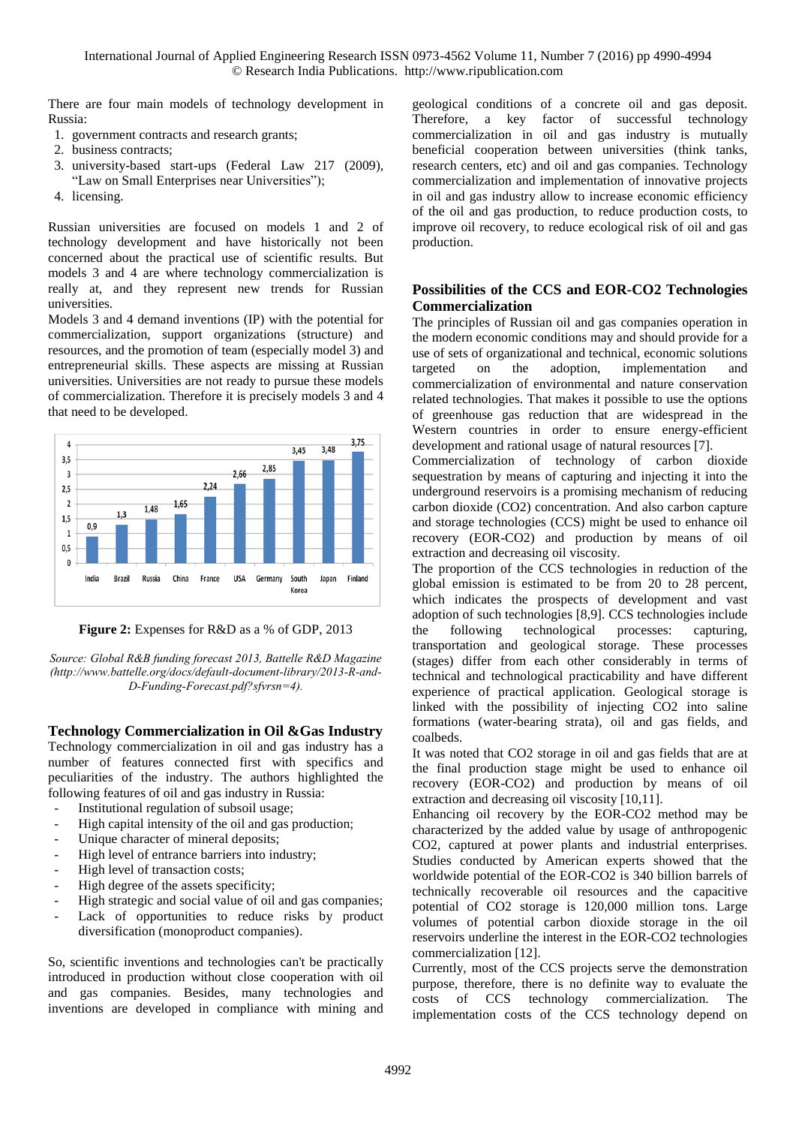There are four main models of technology development in Russia:

- 1. government contracts and research grants;
- 2. business contracts;
- 3. university-based start-ups (Federal Law 217 (2009), "Law on Small Enterprises near Universities");
- 4. licensing.

Russian universities are focused on models 1 and 2 of technology development and have historically not been concerned about the practical use of scientific results. But models 3 and 4 are where technology commercialization is really at, and they represent new trends for Russian universities.

Models 3 and 4 demand inventions (IP) with the potential for commercialization, support organizations (structure) and resources, and the promotion of team (especially model 3) and entrepreneurial skills. These aspects are missing at Russian universities. Universities are not ready to pursue these models of commercialization. Therefore it is precisely models 3 and 4 that need to be developed.





*Source: Global R&В funding forecast 2013, Battelle R&D Magazine [\(http://www.battelle.org/docs/default-document-library/2013-R-and-](http://www.battelle.org/docs/default-document-library/2013-R-and-D-Funding-Forecast.pdf?sfvrsn=4)[D-Funding-Forecast.pdf?sfvrsn=4\)](http://www.battelle.org/docs/default-document-library/2013-R-and-D-Funding-Forecast.pdf?sfvrsn=4).*

### **Technology Commercialization in Oil &Gas Industry**

Technology commercialization in oil and gas industry has a number of features connected first with specifics and peculiarities of the industry. The authors highlighted the following features of oil and gas industry in Russia:

- Institutional regulation of subsoil usage;
- High capital intensity of the oil and gas production;
- Unique character of mineral deposits;
- High level of entrance barriers into industry;
- High level of transaction costs;
- High degree of the assets specificity;
- High strategic and social value of oil and gas companies;
- Lack of opportunities to reduce risks by product diversification (monoproduct companies).

So, scientific inventions and technologies can't be practically introduced in production without close cooperation with oil and gas companies. Besides, many technologies and inventions are developed in compliance with mining and geological conditions of a concrete oil and gas deposit. Therefore, a key factor of successful technology commercialization in oil and gas industry is mutually beneficial cooperation between universities (think tanks, research centers, etc) and oil and gas companies. Technology commercialization and implementation of innovative projects in oil and gas industry allow to increase economic efficiency of the oil and gas production, to reduce production costs, to improve oil recovery, to reduce ecological risk of oil and gas production.

## **Possibilities of the CCS and EOR-CO2 Technologies Commercialization**

The principles of Russian oil and gas companies operation in the modern economic conditions may and should provide for a use of sets of organizational and technical, economic solutions targeted on the adoption, implementation and commercialization of environmental and nature conservation related technologies. That makes it possible to use the options of greenhouse gas reduction that are widespread in the Western countries in order to ensure energy-efficient development and rational usage of natural resources [7].

Commercialization of technology of carbon dioxide sequestration by means of capturing and injecting it into the underground reservoirs is a promising mechanism of reducing carbon dioxide (CO2) concentration. And also carbon capture and storage technologies (CCS) might be used to enhance oil recovery (EOR-CO2) and production by means of oil extraction and decreasing oil viscosity.

The proportion of the CCS technologies in reduction of the global emission is estimated to be from 20 to 28 percent, which indicates the prospects of development and vast adoption of such technologies [8,9]. CCS technologies include the following technological processes: capturing, transportation and geological storage. These processes (stages) differ from each other considerably in terms of technical and technological practicability and have different experience of practical application. Geological storage is linked with the possibility of injecting CO2 into saline formations (water-bearing strata), oil and gas fields, and coalbeds.

It was noted that CO2 storage in oil and gas fields that are at the final production stage might be used to enhance oil recovery (EOR-CO2) and production by means of oil extraction and decreasing oil viscosity [10,11].

Enhancing oil recovery by the EOR-CO2 method may be characterized by the added value by usage of anthropogenic CO2, captured at power plants and industrial enterprises. Studies conducted by American experts showed that the worldwide potential of the EOR-CO2 is 340 billion barrels of technically recoverable oil resources and the capacitive potential of CO2 storage is 120,000 million tons. Large volumes of potential carbon dioxide storage in the oil reservoirs underline the interest in the EOR-CO2 technologies commercialization [12].

Currently, most of the CCS projects serve the demonstration purpose, therefore, there is no definite way to evaluate the costs of CCS technology commercialization. The implementation costs of the CCS technology depend on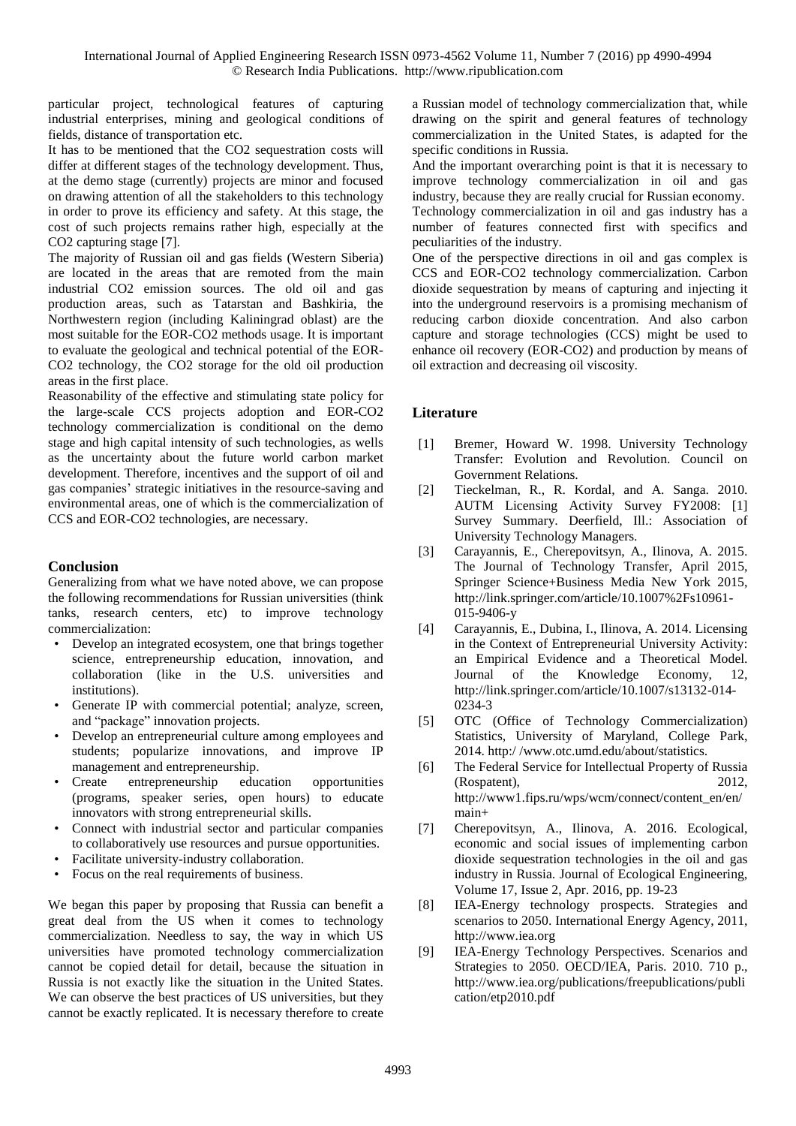particular project, technological features of capturing industrial enterprises, mining and geological conditions of fields, distance of transportation etc.

It has to be mentioned that the CO2 sequestration costs will differ at different stages of the technology development. Thus, at the demo stage (currently) projects are minor and focused on drawing attention of all the stakeholders to this technology in order to prove its efficiency and safety. At this stage, the cost of such projects remains rather high, especially at the CO2 capturing stage [7].

The majority of Russian oil and gas fields (Western Siberia) are located in the areas that are remoted from the main industrial CO2 emission sources. The old oil and gas production areas, such as Tatarstan and Bashkiria, the Northwestern region (including Kaliningrad oblast) are the most suitable for the EOR-CO2 methods usage. It is important to evaluate the geological and technical potential of the EOR-CO2 technology, the CO2 storage for the old oil production areas in the first place.

Reasonability of the effective and stimulating state policy for the large-scale CСS projects adoption and EOR-CO2 technology commercialization is conditional on the demo stage and high capital intensity of such technologies, as wells as the uncertainty about the future world carbon market development. Therefore, incentives and the support of oil and gas companies' strategic initiatives in the resource-saving and environmental areas, one of which is the commercialization of CCS and EOR-CO2 technologies, are necessary.

## **Conclusion**

Generalizing from what we have noted above, we can propose the following recommendations for Russian universities (think tanks, research centers, etc) to improve technology commercialization:

- Develop an integrated ecosystem, one that brings together science, entrepreneurship education, innovation, and collaboration (like in the U.S. universities and institutions).
- Generate IP with commercial potential; analyze, screen, and "package" innovation projects.
- Develop an entrepreneurial culture among employees and students; popularize innovations, and improve IP management and entrepreneurship.
- Create entrepreneurship education opportunities (programs, speaker series, open hours) to educate innovators with strong entrepreneurial skills.
- Connect with industrial sector and particular companies to collaboratively use resources and pursue opportunities.
- Facilitate university-industry collaboration.
- Focus on the real requirements of business.

We began this paper by proposing that Russia can benefit a great deal from the US when it comes to technology commercialization. Needless to say, the way in which US universities have promoted technology commercialization cannot be copied detail for detail, because the situation in Russia is not exactly like the situation in the United States. We can observe the best practices of US universities, but they cannot be exactly replicated. It is necessary therefore to create

a Russian model of technology commercialization that, while drawing on the spirit and general features of technology commercialization in the United States, is adapted for the specific conditions in Russia.

And the important overarching point is that it is necessary to improve technology commercialization in oil and gas industry, because they are really crucial for Russian economy.

Technology commercialization in oil and gas industry has a number of features connected first with specifics and peculiarities of the industry.

One of the perspective directions in oil and gas complex is CCS and EOR-CO2 technology commercialization. Carbon dioxide sequestration by means of capturing and injecting it into the underground reservoirs is a promising mechanism of reducing carbon dioxide concentration. And also carbon capture and storage technologies (CCS) might be used to enhance oil recovery (EOR-CO2) and production by means of oil extraction and decreasing oil viscosity.

## **Literature**

- [1] Bremer, Howard W. 1998. University Technology Transfer: Evolution and Revolution. Council on Government Relations.
- [2] Tieckelman, R., R. Kordal, and A. Sanga. 2010. AUTM Licensing Activity Survey FY2008: [1] Survey Summary. Deerfield, Ill.: Association of University Technology Managers.
- [3] Carayannis, E., Cherepovitsyn, A., Ilinova, A. 2015. [The Journal of Technology Transfer,](http://link.springer.com/journal/10961) April 2015, Springer Science+Business Media New York 2015, [http://link.springer.com/article/10.1007%2Fs10961-](http://link.springer.com/article/10.1007%2Fs10961-015-9406-y) [015-9406-y](http://link.springer.com/article/10.1007%2Fs10961-015-9406-y)
- [4] Carayannis, E., Dubina, I., Ilinova, A. 2014. Licensing in the Context of Entrepreneurial University Activity: an Empirical Evidence and a Theoretical Model. Journal of the Knowledge Economy, 12, [http://link.springer.com/article/10.1007/s13132-014-](http://link.springer.com/article/10.1007/s13132-014-0234-3) [0234-3](http://link.springer.com/article/10.1007/s13132-014-0234-3)
- [5] OTC (Office of Technology Commercialization) Statistics, University of Maryland, College Park, 2014. http:/ /www.otc.umd.edu/about/statistics.
- [6] The Federal Service for Intellectual Property of Russia (Rospatent), 2012, [http://www1.fips.ru/wps/wcm/connect/content\\_en/en/](http://www1.fips.ru/wps/wcm/connect/content_en/en/main) [main+](http://www1.fips.ru/wps/wcm/connect/content_en/en/main)
- [7] Cherepovitsyn, A., Ilinova, A. 2016. Ecological, economic and social issues of implementing carbon dioxide sequestration technologies in the oil and gas industry in Russia. Journal of Ecological Engineering, Volume 17, Issue 2, Apr. 2016, pp. 19-23
- [8] IEA-Energy technology prospects. Strategies and scenarios to 2050. International Energy Agency, 2011, [http://www.iea.org](http://www.iea.org/)
- [9] IEA-Energy Technology Perspectives. Scenarios and Strategies to 2050. OECD/IEA, Paris. 2010. 710 p., [http://www.iea.org/publications/freepublications/publi](http://www.iea.org/publications/freepublications/publication/etp2010.pdf) [cation/etp2010.pdf](http://www.iea.org/publications/freepublications/publication/etp2010.pdf)